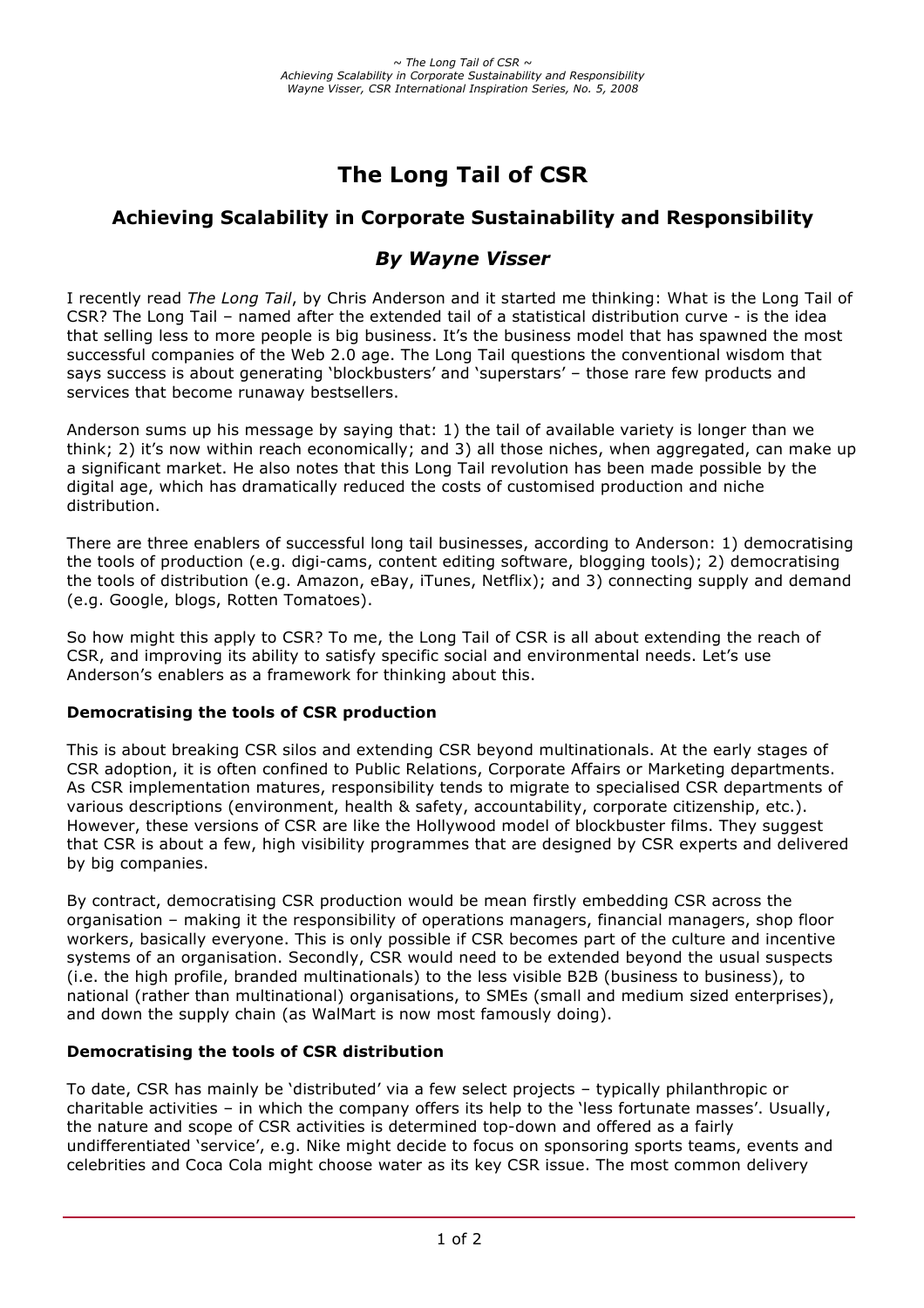# **The Long Tail of CSR**

## **Achieving Scalability in Corporate Sustainability and Responsibility**

## *By Wayne Visser*

I recently read *The Long Tail*, by Chris Anderson and it started me thinking: What is the Long Tail of CSR? The Long Tail – named after the extended tail of a statistical distribution curve - is the idea that selling less to more people is big business. It's the business model that has spawned the most successful companies of the Web 2.0 age. The Long Tail questions the conventional wisdom that says success is about generating 'blockbusters' and 'superstars' – those rare few products and services that become runaway bestsellers.

Anderson sums up his message by saying that: 1) the tail of available variety is longer than we think; 2) it's now within reach economically; and 3) all those niches, when aggregated, can make up a significant market. He also notes that this Long Tail revolution has been made possible by the digital age, which has dramatically reduced the costs of customised production and niche distribution.

There are three enablers of successful long tail businesses, according to Anderson: 1) democratising the tools of production (e.g. digi-cams, content editing software, blogging tools); 2) democratising the tools of distribution (e.g. Amazon, eBay, iTunes, Netflix); and 3) connecting supply and demand (e.g. Google, blogs, Rotten Tomatoes).

So how might this apply to CSR? To me, the Long Tail of CSR is all about extending the reach of CSR, and improving its ability to satisfy specific social and environmental needs. Let's use Anderson's enablers as a framework for thinking about this.

### **Democratising the tools of CSR production**

This is about breaking CSR silos and extending CSR beyond multinationals. At the early stages of CSR adoption, it is often confined to Public Relations, Corporate Affairs or Marketing departments. As CSR implementation matures, responsibility tends to migrate to specialised CSR departments of various descriptions (environment, health & safety, accountability, corporate citizenship, etc.). However, these versions of CSR are like the Hollywood model of blockbuster films. They suggest that CSR is about a few, high visibility programmes that are designed by CSR experts and delivered by big companies.

By contract, democratising CSR production would be mean firstly embedding CSR across the organisation – making it the responsibility of operations managers, financial managers, shop floor workers, basically everyone. This is only possible if CSR becomes part of the culture and incentive systems of an organisation. Secondly, CSR would need to be extended beyond the usual suspects (i.e. the high profile, branded multinationals) to the less visible B2B (business to business), to national (rather than multinational) organisations, to SMEs (small and medium sized enterprises), and down the supply chain (as WalMart is now most famously doing).

#### **Democratising the tools of CSR distribution**

To date, CSR has mainly be 'distributed' via a few select projects – typically philanthropic or charitable activities – in which the company offers its help to the 'less fortunate masses'. Usually, the nature and scope of CSR activities is determined top-down and offered as a fairly undifferentiated 'service', e.g. Nike might decide to focus on sponsoring sports teams, events and celebrities and Coca Cola might choose water as its key CSR issue. The most common delivery